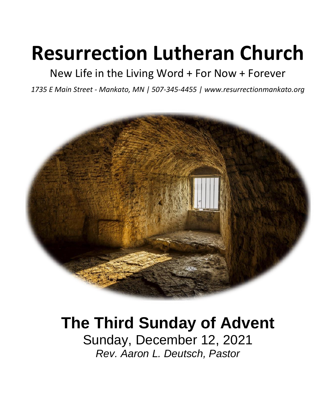# **Resurrection Lutheran Church**

New Life in the Living Word + For Now + Forever

*1735 E Main Street - Mankato, MN | 507-345-4455 | [www.resurrectionmankato.org](http://www.resurrectionmankato.org/)*



## **The Third Sunday of Advent**

Sunday, December 12, 2021 *Rev. Aaron L. Deutsch, Pastor*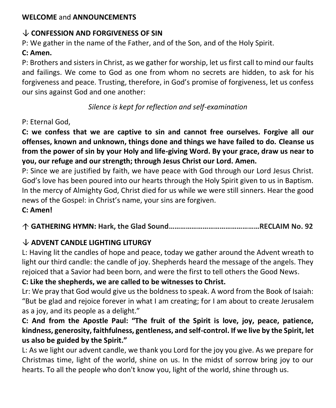#### **WELCOME** and **ANNOUNCEMENTS**

#### **CONFESSION AND FORGIVENESS OF SIN**

P: We gather in the name of the Father, and of the Son, and of the Holy Spirit.

#### **C: Amen.**

P: Brothers and sisters in Christ, as we gather for worship, let us first call to mind our faults and failings. We come to God as one from whom no secrets are hidden, to ask for his forgiveness and peace. Trusting, therefore, in God's promise of forgiveness, let us confess our sins against God and one another:

*Silence is kept for reflection and self-examination*

#### P: Eternal God,

**C: we confess that we are captive to sin and cannot free ourselves. Forgive all our offenses, known and unknown, things done and things we have failed to do. Cleanse us from the power of sin by your Holy and life-giving Word. By your grace, draw us near to you, our refuge and our strength; through Jesus Christ our Lord. Amen.**

P: Since we are justified by faith, we have peace with God through our Lord Jesus Christ. God's love has been poured into our hearts through the Holy Spirit given to us in Baptism. In the mercy of Almighty God, Christ died for us while we were still sinners. Hear the good news of the Gospel: in Christ's name, your sins are forgiven.

#### **C: Amen!**

**GATHERING HYMN: Hark, the Glad Sound…………………………………………RECLAIM No. 92**

#### **ADVENT CANDLE LIGHTING LITURGY**

L: Having lit the candles of hope and peace, today we gather around the Advent wreath to light our third candle: the candle of joy. Shepherds heard the message of the angels. They rejoiced that a Savior had been born, and were the first to tell others the Good News.

#### **C: Like the shepherds, we are called to be witnesses to Christ.**

Lr: We pray that God would give us the boldness to speak. A word from the Book of Isaiah: "But be glad and rejoice forever in what I am creating; for I am about to create Jerusalem as a joy, and its people as a delight."

#### **C: And from the Apostle Paul: "The fruit of the Spirit is love, joy, peace, patience, kindness, generosity, faithfulness, gentleness, and self-control. If we live by the Spirit, let us also be guided by the Spirit."**

L: As we light our advent candle, we thank you Lord for the joy you give. As we prepare for Christmas time, light of the world, shine on us. In the midst of sorrow bring joy to our hearts. To all the people who don't know you, light of the world, shine through us.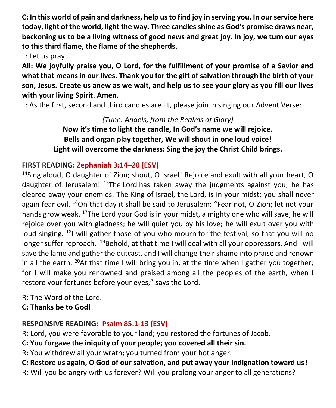**C: In this world of pain and darkness, help us to find joy in serving you. In our service here today, light of the world, light the way. Three candles shine as God's promise draws near, beckoning us to be a living witness of good news and great joy. In joy, we turn our eyes to this third flame, the flame of the shepherds.** 

L: Let us pray...

**All: We joyfully praise you, O Lord, for the fulfillment of your promise of a Savior and what that means in our lives. Thank you for the gift of salvation through the birth of your son, Jesus. Create us anew as we wait, and help us to see your glory as you fill our lives with your living Spirit. Amen.** 

L: As the first, second and third candles are lit, please join in singing our Advent Verse:

#### *(Tune: Angels, from the Realms of Glory)*

**Now it's time to light the candle, In God's name we will rejoice. Bells and organ play together, We will shout in one loud voice! Light will overcome the darkness: Sing the joy the Christ Child brings.**

#### **FIRST READING: Zephaniah 3:14–20 (ESV)**

<sup>14</sup>Sing aloud, O daughter of Zion; shout, O Israel! Rejoice and exult with all your heart, O daughter of Jerusalem! <sup>15</sup>The Lord has taken away the judgments against you; he has cleared away your enemies. The King of Israel, the Lord, is in your midst; you shall never again fear evil. <sup>16</sup>On that day it shall be said to Jerusalem: "Fear not, O Zion; let not your hands grow weak. <sup>17</sup>The Lord your God is in your midst, a mighty one who will save; he will rejoice over you with gladness; he will quiet you by his love; he will exult over you with loud singing.  $18$  will gather those of you who mourn for the festival, so that you will no longer suffer reproach. <sup>19</sup>Behold, at that time I will deal with all your oppressors. And I will save the lame and gather the outcast, and I will change their shame into praise and renown in all the earth. <sup>20</sup>At that time I will bring you in, at the time when I gather you together; for I will make you renowned and praised among all the peoples of the earth, when I restore your fortunes before your eyes," says the Lord.

R: The Word of the Lord.

**C: Thanks be to God!** 

#### **RESPONSIVE READING: [Psalm 85:1-13](https://biblia.com/bible/esv/Ps%2085.1-13) (ESV)**

R: Lord, you were favorable to your land; you restored the fortunes of Jacob.

**C: You forgave the iniquity of your people; you covered all their sin.**

R: You withdrew all your wrath; you turned from your hot anger.

**C: Restore us again, O God of our salvation, and put away your indignation toward us!**

R: Will you be angry with us forever? Will you prolong your anger to all generations?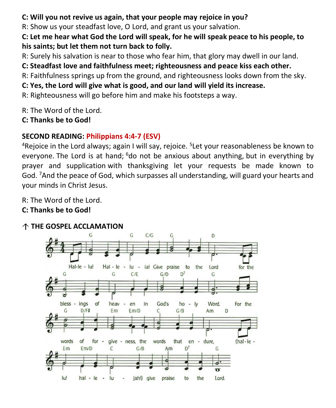#### **C: Will you not revive us again, that your people may rejoice in you?**

R: Show us your steadfast love, O Lord, and grant us your salvation.

**C: Let me hear what God the Lord will speak, for he will speak peace to his people, to his saints; but let them not turn back to folly.**

R: Surely his salvation is near to those who fear him, that glory may dwell in our land.

**C: Steadfast love and faithfulness meet; righteousness and peace kiss each other.**

R: Faithfulness springs up from the ground, and righteousness looks down from the sky.

**C: Yes, the Lord will give what is good, and our land will yield its increase.**

R: Righteousness will go before him and make his footsteps a way.

R: The Word of the Lord.

**C: Thanks be to God!** 

#### **SECOND READING: [Philippians 4:4-7](https://biblia.com/bible/esv/Phil%204.4-7) (ESV)**

<sup>4</sup>Rejoice in the Lord always; again I will say, rejoice. <sup>5</sup>Let your reasonableness be known to everyone. The Lord is at hand: <sup>6</sup>do not be anxious about anything, but in everything by prayer and supplication with thanksgiving let your requests be made known to God. <sup>7</sup>And the peace of God, which surpasses all understanding, will guard your hearts and your minds in Christ Jesus.

R: The Word of the Lord.

#### **C: Thanks be to God!**

#### **THE GOSPEL ACCLAMATION**

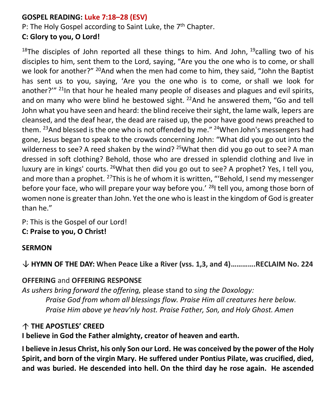#### **GOSPEL READING: Luke 7:18–28 (ESV)**

P: The Holy Gospel according to Saint Luke, the 7<sup>th</sup> Chapter.

#### **C: Glory to you, O Lord!**

<sup>18</sup>The disciples of John reported all these things to him. And John,  $^{19}$ calling two of his disciples to him, sent them to the Lord, saying, "Are you the one who is to come, or shall we look for another?" <sup>20</sup>And when the men had come to him, they said, "John the Baptist has sent us to you, saying, 'Are you the one who is to come, or shall we look for another?"<sup>" 21</sup>In that hour he healed many people of diseases and plagues and evil spirits, and on many who were blind he bestowed sight.  $22$  And he answered them, "Go and tell John what you have seen and heard: the blind receive their sight, the lame walk, lepers are cleansed, and the deaf hear, the dead are raised up, the poor have good news preached to them. <sup>23</sup>And blessed is the one who is not offended by me." <sup>24</sup>When John's messengers had gone, Jesus began to speak to the crowds concerning John: "What did you go out into the wilderness to see? A reed shaken by the wind? <sup>25</sup>What then did you go out to see? A man dressed in soft clothing? Behold, those who are dressed in splendid clothing and live in luxury are in kings' courts.  $^{26}$ What then did you go out to see? A prophet? Yes, I tell you, and more than a prophet. <sup>27</sup>This is he of whom it is written, "'Behold, I send my messenger before your face, who will prepare your way before you.' <sup>28</sup>I tell you, among those born of women none is greater than John. Yet the one who is least in the kingdom of God is greater than he."

P: This is the Gospel of our Lord! **C: Praise to you, O Christ!** 

#### **SERMON**

**HYMN OF THE DAY: When Peace Like a River (vss. 1,3, and 4)………….RECLAIM No. 224**

#### **OFFERING** and **OFFERING RESPONSE**

*As ushers bring forward the offering,* please stand to *sing the Doxology: Praise God from whom all blessings flow. Praise Him all creatures here below. Praise Him above ye heav'nly host. Praise Father, Son, and Holy Ghost. Amen*

#### **THE APOSTLES' CREED**

#### **I believe in God the Father almighty, creator of heaven and earth.**

**I believe in Jesus Christ, his only Son our Lord. He was conceived by the power of the Holy Spirit, and born of the virgin Mary. He suffered under Pontius Pilate, was crucified, died, and was buried. He descended into hell. On the third day he rose again. He ascended**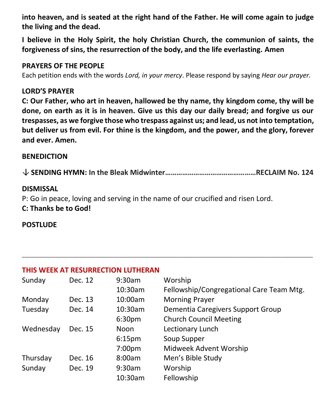**into heaven, and is seated at the right hand of the Father. He will come again to judge the living and the dead.**

**I believe in the Holy Spirit, the holy Christian Church, the communion of saints, the forgiveness of sins, the resurrection of the body, and the life everlasting. Amen**

#### **PRAYERS OF THE PEOPLE**

Each petition ends with the words *Lord, in your mercy*. Please respond by saying *Hear our prayer.*

#### **LORD'S PRAYER**

**C: Our Father, who art in heaven, hallowed be thy name, thy kingdom come, thy will be done, on earth as it is in heaven. Give us this day our daily bread; and forgive us our trespasses, as we forgive those who trespass against us; and lead, us not into temptation, but deliver us from evil. For thine is the kingdom, and the power, and the glory, forever and ever. Amen.**

#### **BENEDICTION**

**SENDING HYMN: In the Bleak Midwinter…………………………………………RECLAIM No. 124**

**\_\_\_\_\_\_\_\_\_\_\_\_\_\_\_\_\_\_\_\_\_\_\_\_\_\_\_\_\_\_\_\_\_\_\_\_\_\_\_\_\_\_\_\_\_\_\_\_\_\_\_\_\_\_\_\_\_\_\_\_\_\_\_\_\_\_\_\_\_\_\_\_\_**

#### **DISMISSAL**

P: Go in peace, loving and serving in the name of our crucified and risen Lord. **C: Thanks be to God!**

#### **POSTLUDE**

#### **THIS WEEK AT RESURRECTION LUTHERAN**

| Sunday    | Dec. 12 | 9:30am             | Worship                                  |
|-----------|---------|--------------------|------------------------------------------|
|           |         | 10:30am            | Fellowship/Congregational Care Team Mtg. |
| Monday    | Dec. 13 | 10:00am            | <b>Morning Prayer</b>                    |
| Tuesday   | Dec. 14 | 10:30am            | Dementia Caregivers Support Group        |
|           |         | 6:30 <sub>pm</sub> | <b>Church Council Meeting</b>            |
| Wednesday | Dec. 15 | Noon               | Lectionary Lunch                         |
|           |         | 6:15 <sub>pm</sub> | Soup Supper                              |
|           |         | 7:00 <sub>pm</sub> | Midweek Advent Worship                   |
| Thursday  | Dec. 16 | 8:00am             | Men's Bible Study                        |
| Sunday    | Dec. 19 | 9:30am             | Worship                                  |
|           |         | 10:30am            | Fellowship                               |